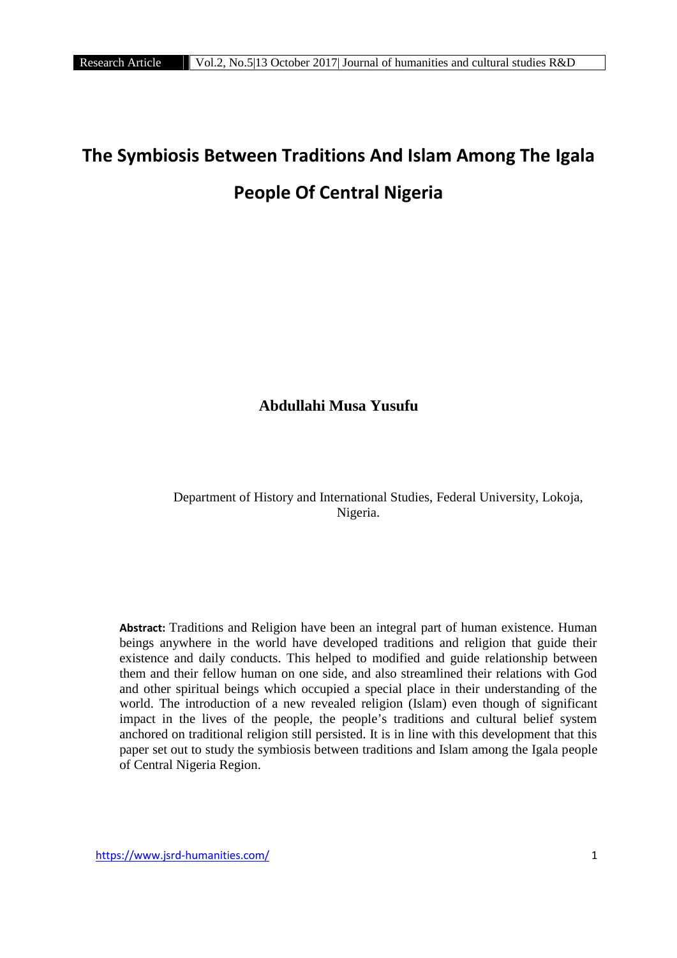# **The Symbiosis Between Traditions And Islam Among The Igala People Of Central Nigeria**

# **Abdullahi Musa Yusufu**

Department of History and International Studies, Federal University, Lokoja, Nigeria.

**Abstract:** Traditions and Religion have been an integral part of human existence. Human beings anywhere in the world have developed traditions and religion that guide their existence and daily conducts. This helped to modified and guide relationship between them and their fellow human on one side, and also streamlined their relations with God and other spiritual beings which occupied a special place in their understanding of the world. The introduction of a new revealed religion (Islam) even though of significant impact in the lives of the people, the people's traditions and cultural belief system anchored on traditional religion still persisted. It is in line with this development that this paper set out to study the symbiosis between traditions and Islam among the Igala people of Central Nigeria Region.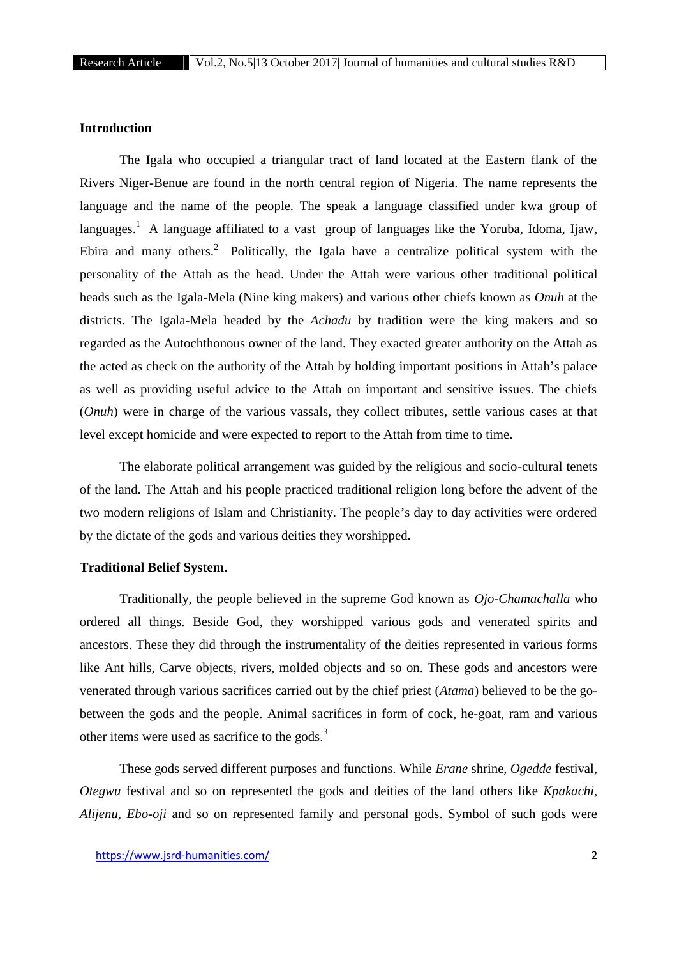# **Introduction**

The Igala who occupied a triangular tract of land located at the Eastern flank of the Rivers Niger-Benue are found in the north central region of Nigeria. The name represents the language and the name of the people. The speak a language classified under kwa group of languages.<sup>1</sup> A language affiliated to a vast group of languages like the Yoruba, Idoma, Ijaw, Ebira and many others.<sup>2</sup> Politically, the Igala have a centralize political system with the personality of the Attah as the head. Under the Attah were various other traditional political heads such as the Igala-Mela (Nine king makers) and various other chiefs known as *Onuh* at the districts. The Igala-Mela headed by the *Achadu* by tradition were the king makers and so regarded as the Autochthonous owner of the land. They exacted greater authority on the Attah as the acted as check on the authority of the Attah by holding important positions in Attah's palace as well as providing useful advice to the Attah on important and sensitive issues. The chiefs (*Onuh*) were in charge of the various vassals, they collect tributes, settle various cases at that level except homicide and were expected to report to the Attah from time to time.

The elaborate political arrangement was guided by the religious and socio-cultural tenets of the land. The Attah and his people practiced traditional religion long before the advent of the two modern religions of Islam and Christianity. The people's day to day activities were ordered by the dictate of the gods and various deities they worshipped.

# **Traditional Belief System.**

Traditionally, the people believed in the supreme God known as *Ojo-Chamachalla* who ordered all things. Beside God, they worshipped various gods and venerated spirits and ancestors. These they did through the instrumentality of the deities represented in various forms like Ant hills, Carve objects, rivers, molded objects and so on. These gods and ancestors were venerated through various sacrifices carried out by the chief priest (*Atama*) believed to be the go between the gods and the people. Animal sacrifices in form of cock, he-goat, ram and various other items were used as sacrifice to the gods.<sup>3</sup>

These gods served different purposes and functions. While *Erane* shrine, *Ogedde* festival, *Otegwu* festival and so on represented the gods and deities of the land others like *Kpakachi*, *Alijenu*, *Ebo-oji* and so on represented family and personal gods. Symbol of such gods were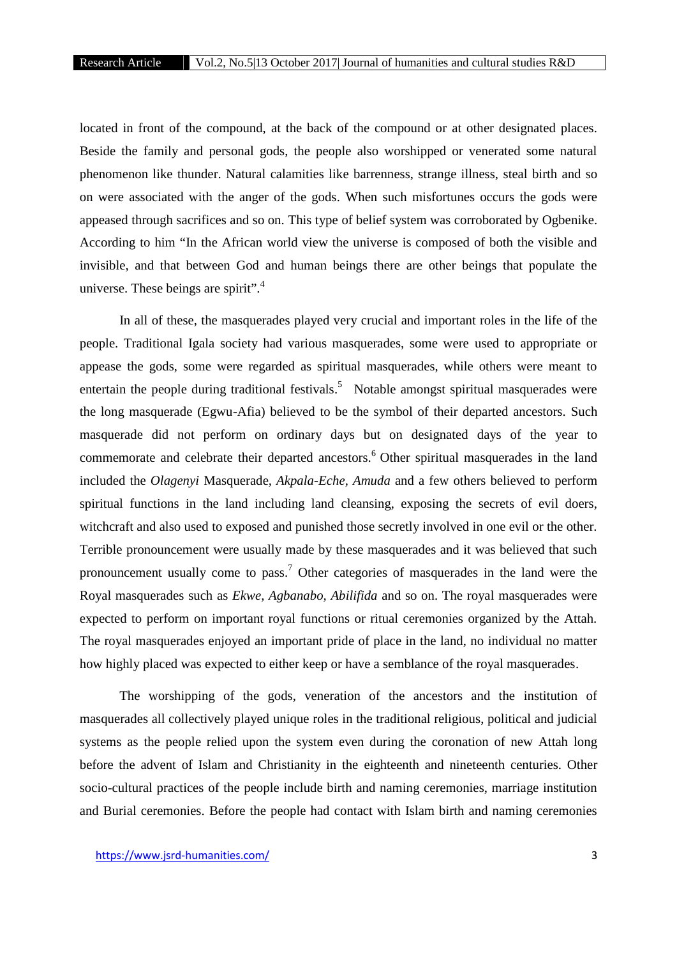located in front of the compound, at the back of the compound or at other designated places. Beside the family and personal gods, the people also worshipped or venerated some natural phenomenon like thunder. Natural calamities like barrenness, strange illness, steal birth and so on were associated with the anger of the gods. When such misfortunes occurs the gods were appeased through sacrifices and so on. This type of belief system was corroborated by Ogbenike. According to him "In the African world view the universe is composed of both the visible and invisible, and that between God and human beings there are other beings that populate the universe. These beings are spirit".<sup>4</sup>

In all of these, the masquerades played very crucial and important roles in the life of the people. Traditional Igala society had various masquerades, some were used to appropriate or appease the gods, some were regarded as spiritual masquerades, while others were meant to entertain the people during traditional festivals.<sup>5</sup> Notable amongst spiritual masquerades were the long masquerade (Egwu-Afia) believed to be the symbol of their departed ancestors. Such masquerade did not perform on ordinary days but on designated days of the year to commemorate and celebrate their departed ancestors.<sup>6</sup> Other spiritual masquerades in the land included the *Olagenyi* Masquerade*, Akpala-Eche, Amuda* and a few others believed to perform spiritual functions in the land including land cleansing, exposing the secrets of evil doers, witchcraft and also used to exposed and punished those secretly involved in one evil or the other. Terrible pronouncement were usually made by these masquerades and it was believed that such pronouncement usually come to pass.<sup>7</sup> Other categories of masquerades in the land were the Royal masquerades such as *Ekwe, Agbanabo, Abilifida* and so on. The royal masquerades were expected to perform on important royal functions or ritual ceremonies organized by the Attah. The royal masquerades enjoyed an important pride of place in the land, no individual no matter how highly placed was expected to either keep or have a semblance of the royal masquerades.

The worshipping of the gods, veneration of the ancestors and the institution of masquerades all collectively played unique roles in the traditional religious, political and judicial systems as the people relied upon the system even during the coronation of new Attah long before the advent of Islam and Christianity in the eighteenth and nineteenth centuries. Other socio-cultural practices of the people include birth and naming ceremonies, marriage institution and Burial ceremonies. Before the people had contact with Islam birth and naming ceremonies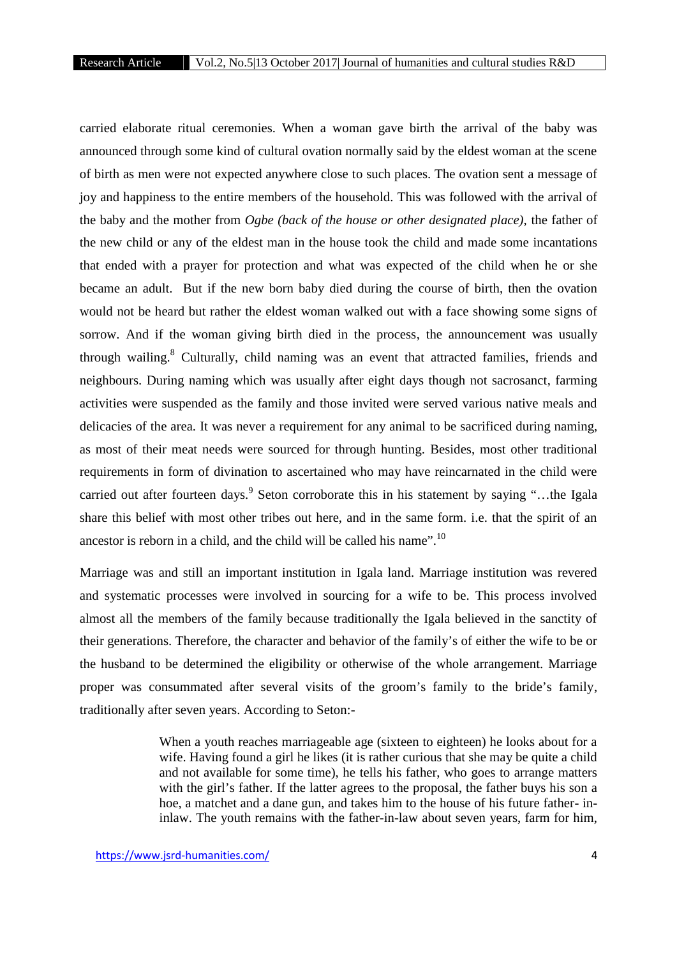carried elaborate ritual ceremonies. When a woman gave birth the arrival of the baby was announced through some kind of cultural ovation normally said by the eldest woman at the scene of birth as men were not expected anywhere close to such places. The ovation sent a message of joy and happiness to the entire members of the household. This was followed with the arrival of the baby and the mother from *Ogbe (back of the house or other designated place)*, the father of the new child or any of the eldest man in the house took the child and made some incantations that ended with a prayer for protection and what was expected of the child when he or she became an adult. But if the new born baby died during the course of birth, then the ovation would not be heard but rather the eldest woman walked out with a face showing some signs of sorrow. And if the woman giving birth died in the process, the announcement was usually through wailing.<sup>8</sup> Culturally, child naming was an event that attracted families, friends and neighbours. During naming which was usually after eight days though not sacrosanct, farming activities were suspended as the family and those invited were served various native meals and delicacies of the area. It was never a requirement for any animal to be sacrificed during naming, as most of their meat needs were sourced for through hunting. Besides, most other traditional requirements in form of divination to ascertained who may have reincarnated in the child were carried out after fourteen days.<sup>9</sup> Seton corroborate this in his statement by saying "...the Igala" share this belief with most other tribes out here, and in the same form. i.e. that the spirit of an ancestor is reborn in a child, and the child will be called his name".<sup>10</sup>

Marriage was and still an important institution in Igala land. Marriage institution was revered and systematic processes were involved in sourcing for a wife to be. This process involved almost all the members of the family because traditionally the Igala believed in the sanctity of their generations. Therefore, the character and behavior of the family's of either the wife to be or the husband to be determined the eligibility or otherwise of the whole arrangement. Marriage proper was consummated after several visits of the groom's family to the bride's family, traditionally after seven years. According to Seton:-

> When a youth reaches marriageable age (sixteen to eighteen) he looks about for a wife. Having found a girl he likes (it is rather curious that she may be quite a child and not available for some time), he tells his father, who goes to arrange matters with the girl's father. If the latter agrees to the proposal, the father buys his son a hoe, a matchet and a dane gun, and takes him to the house of his future father- ininlaw. The youth remains with the father-in-law about seven years, farm for him,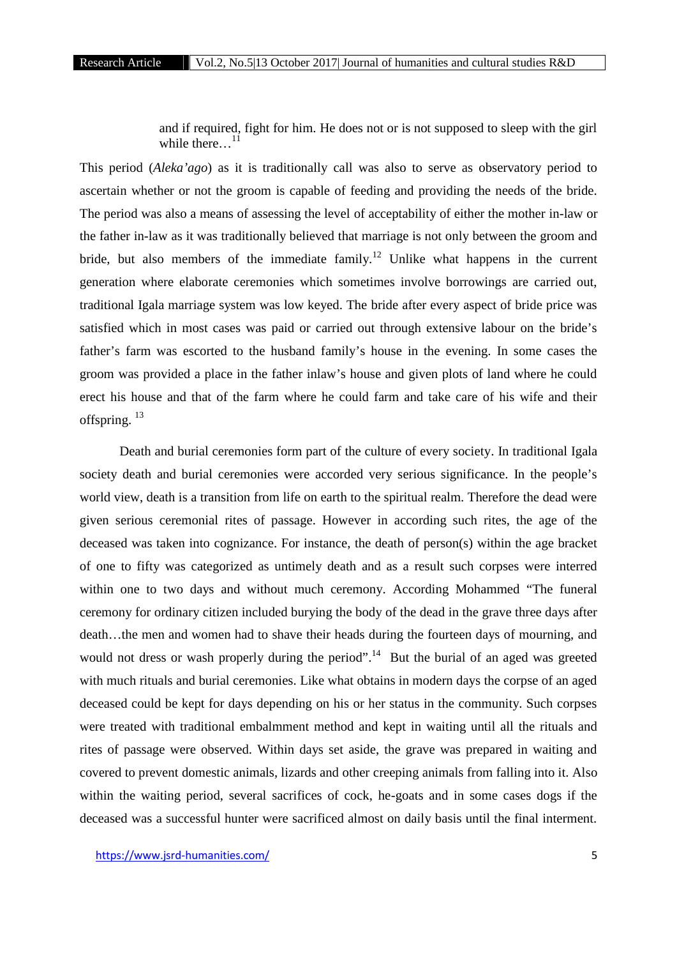and if required, fight for him. He does not or is not supposed to sleep with the girl while there... $^{11}$ 

This period (*Aleka'ago*) as it is traditionally call was also to serve as observatory period to ascertain whether or not the groom is capable of feeding and providing the needs of the bride. The period was also a means of assessing the level of acceptability of either the mother in-law or the father in-law as it was traditionally believed that marriage is not only between the groom and bride, but also members of the immediate family.<sup>12</sup> Unlike what happens in the current generation where elaborate ceremonies which sometimes involve borrowings are carried out, traditional Igala marriage system was low keyed. The bride after every aspect of bride price was satisfied which in most cases was paid or carried out through extensive labour on the bride's father's farm was escorted to the husband family's house in the evening. In some cases the groom was provided a place in the father inlaw's house and given plots of land where he could erect his house and that of the farm where he could farm and take care of his wife and their offspring.<sup>13</sup>

Death and burial ceremonies form part of the culture of every society. In traditional Igala society death and burial ceremonies were accorded very serious significance. In the people's world view, death is a transition from life on earth to the spiritual realm. Therefore the dead were given serious ceremonial rites of passage. However in according such rites, the age of the deceased was taken into cognizance. For instance, the death of person(s) within the age bracket of one to fifty was categorized as untimely death and as a result such corpses were interred within one to two days and without much ceremony. According Mohammed "The funeral ceremony for ordinary citizen included burying the body of the dead in the grave three days after death…the men and women had to shave their heads during the fourteen days of mourning, and would not dress or wash properly during the period".<sup>14</sup> But the burial of an aged was greeted with much rituals and burial ceremonies. Like what obtains in modern days the corpse of an aged deceased could be kept for days depending on his or her status in the community. Such corpses were treated with traditional embalmment method and kept in waiting until all the rituals and rites of passage were observed. Within days set aside, the grave was prepared in waiting and covered to prevent domestic animals, lizards and other creeping animals from falling into it. Also within the waiting period, several sacrifices of cock, he-goats and in some cases dogs if the deceased was a successful hunter were sacrificed almost on daily basis until the final interment.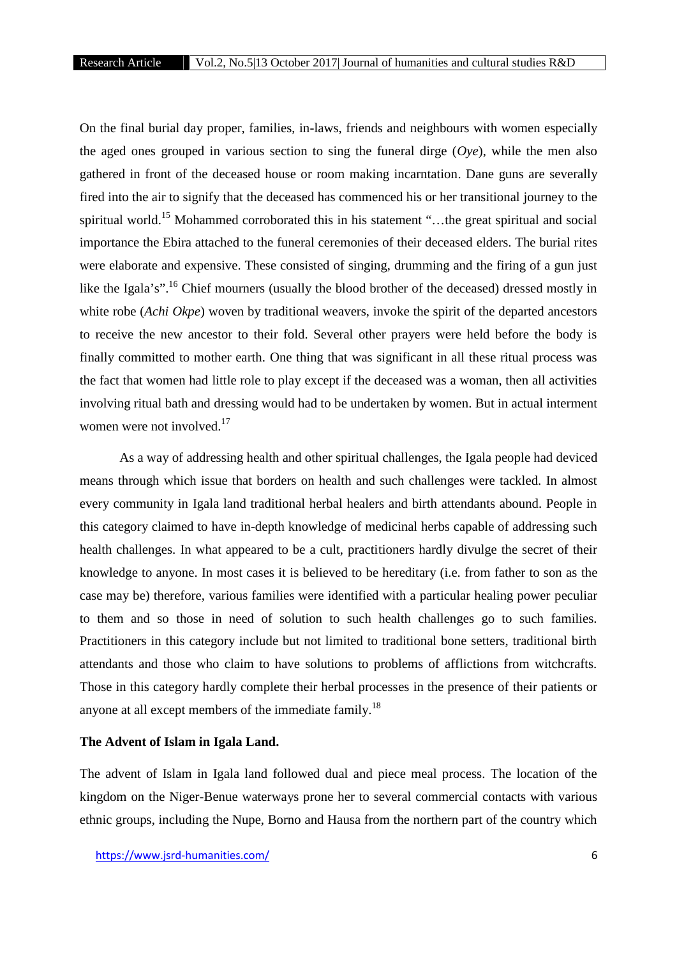On the final burial day proper, families, in-laws, friends and neighbours with women especially the aged ones grouped in various section to sing the funeral dirge  $(Oye)$ , while the men also gathered in front of the deceased house or room making incarntation. Dane guns are severally fired into the air to signify that the deceased has commenced his or her transitional journey to the spiritual world.<sup>15</sup> Mohammed corroborated this in his statement "...the great spiritual and social importance the Ebira attached to the funeral ceremonies of their deceased elders. The burial rites were elaborate and expensive. These consisted of singing, drumming and the firing of a gun just like the Igala's".<sup>16</sup> Chief mourners (usually the blood brother of the deceased) dressed mostly in white robe (*Achi Okpe*) woven by traditional weavers, invoke the spirit of the departed ancestors to receive the new ancestor to their fold. Several other prayers were held before the body is finally committed to mother earth. One thing that was significant in all these ritual process was the fact that women had little role to play except if the deceased was a woman, then all activities involving ritual bath and dressing would had to be undertaken by women. But in actual interment women were not involved.<sup>17</sup>

As a way of addressing health and other spiritual challenges, the Igala people had deviced means through which issue that borders on health and such challenges were tackled. In almost every community in Igala land traditional herbal healers and birth attendants abound. People in this category claimed to have in-depth knowledge of medicinal herbs capable of addressing such health challenges. In what appeared to be a cult, practitioners hardly divulge the secret of their knowledge to anyone. In most cases it is believed to be hereditary (i.e. from father to son as the case may be) therefore, various families were identified with a particular healing power peculiar to them and so those in need of solution to such health challenges go to such families. Practitioners in this category include but not limited to traditional bone setters, traditional birth attendants and those who claim to have solutions to problems of afflictions from witchcrafts. Those in this category hardly complete their herbal processes in the presence of their patients or anyone at all except members of the immediate family.<sup>18</sup>

# **The Advent of Islam in Igala Land.**

The advent of Islam in Igala land followed dual and piece meal process. The location of the kingdom on the Niger-Benue waterways prone her to several commercial contacts with various ethnic groups, including the Nupe, Borno and Hausa from the northern part of the country which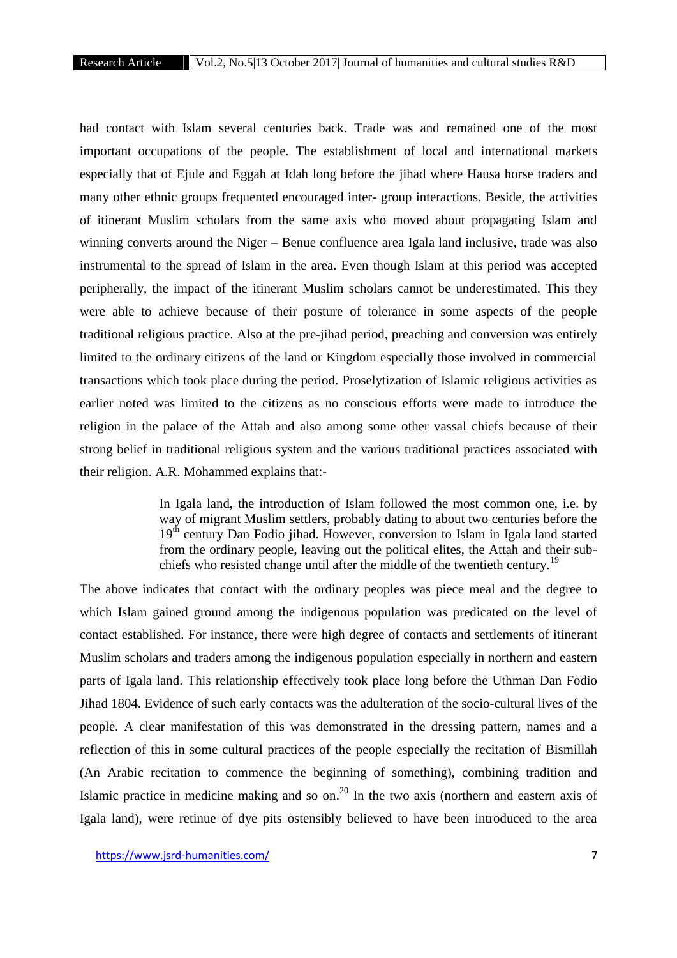had contact with Islam several centuries back. Trade was and remained one of the most important occupations of the people. The establishment of local and international markets especially that of Ejule and Eggah at Idah long before the jihad where Hausa horse traders and many other ethnic groups frequented encouraged inter- group interactions. Beside, the activities of itinerant Muslim scholars from the same axis who moved about propagating Islam and winning converts around the Niger – Benue confluence area Igala land inclusive, trade was also instrumental to the spread of Islam in the area. Even though Islam at this period was accepted peripherally, the impact of the itinerant Muslim scholars cannot be underestimated. This they were able to achieve because of their posture of tolerance in some aspects of the people traditional religious practice. Also at the pre-jihad period, preaching and conversion was entirely limited to the ordinary citizens of the land or Kingdom especially those involved in commercial transactions which took place during the period. Proselytization of Islamic religious activities as earlier noted was limited to the citizens as no conscious efforts were made to introduce the religion in the palace of the Attah and also among some other vassal chiefs because of their strong belief in traditional religious system and the various traditional practices associated with their religion. A.R. Mohammed explains that:-

> In Igala land, the introduction of Islam followed the most common one, i.e. by way of migrant Muslim settlers, probably dating to about two centuries before the 19<sup>th</sup> century Dan Fodio jihad. However, conversion to Islam in Igala land started from the ordinary people, leaving out the political elites, the Attah and their sub chiefs who resisted change until after the middle of the twentieth century.<sup>19</sup>

The above indicates that contact with the ordinary peoples was piece meal and the degree to which Islam gained ground among the indigenous population was predicated on the level of contact established. For instance, there were high degree of contacts and settlements of itinerant Muslim scholars and traders among the indigenous population especially in northern and eastern parts of Igala land. This relationship effectively took place long before the Uthman Dan Fodio Jihad 1804. Evidence of such early contacts was the adulteration of the socio-cultural lives of the people. A clear manifestation of this was demonstrated in the dressing pattern, names and a reflection of this in some cultural practices of the people especially the recitation of Bismillah (An Arabic recitation to commence the beginning of something), combining tradition and Islamic practice in medicine making and so on.<sup>20</sup> In the two axis (northern and eastern axis of Igala land), were retinue of dye pits ostensibly believed to have been introduced to the area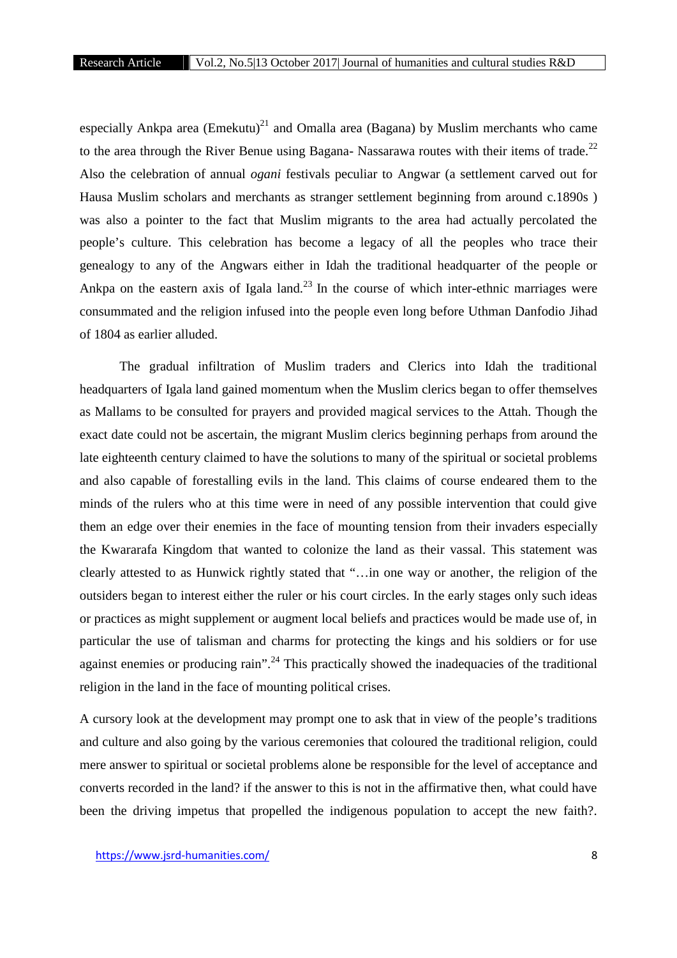especially Ankpa area  $(Emekutu)^{21}$  and Omalla area (Bagana) by Muslim merchants who came to the area through the River Benue using Bagana- Nassarawa routes with their items of trade.<sup>22</sup> Also the celebration of annual *ogani* festivals peculiar to Angwar (a settlement carved out for Hausa Muslim scholars and merchants as stranger settlement beginning from around c.1890s ) was also a pointer to the fact that Muslim migrants to the area had actually percolated the people's culture. This celebration has become a legacy of all the peoples who trace their genealogy to any of the Angwars either in Idah the traditional headquarter of the people or Ankpa on the eastern axis of Igala land.<sup>23</sup> In the course of which inter-ethnic marriages were consummated and the religion infused into the people even long before Uthman Danfodio Jihad of 1804 as earlier alluded.

The gradual infiltration of Muslim traders and Clerics into Idah the traditional headquarters of Igala land gained momentum when the Muslim clerics began to offer themselves as Mallams to be consulted for prayers and provided magical services to the Attah. Though the exact date could not be ascertain, the migrant Muslim clerics beginning perhaps from around the late eighteenth century claimed to have the solutions to many of the spiritual or societal problems and also capable of forestalling evils in the land. This claims of course endeared them to the minds of the rulers who at this time were in need of any possible intervention that could give them an edge over their enemies in the face of mounting tension from their invaders especially the Kwararafa Kingdom that wanted to colonize the land as their vassal. This statement was clearly attested to as Hunwick rightly stated that "…in one way or another, the religion of the outsiders began to interest either the ruler or his court circles. In the early stages only such ideas or practices as might supplement or augment local beliefs and practices would be made use of, in particular the use of talisman and charms for protecting the kings and his soldiers or for use against enemies or producing rain".<sup>24</sup> This practically showed the inadequacies of the traditional religion in the land in the face of mounting political crises.

A cursory look at the development may prompt one to ask that in view of the people's traditions and culture and also going by the various ceremonies that coloured the traditional religion, could mere answer to spiritual or societal problems alone be responsible for the level of acceptance and converts recorded in the land? if the answer to this is not in the affirmative then, what could have been the driving impetus that propelled the indigenous population to accept the new faith?.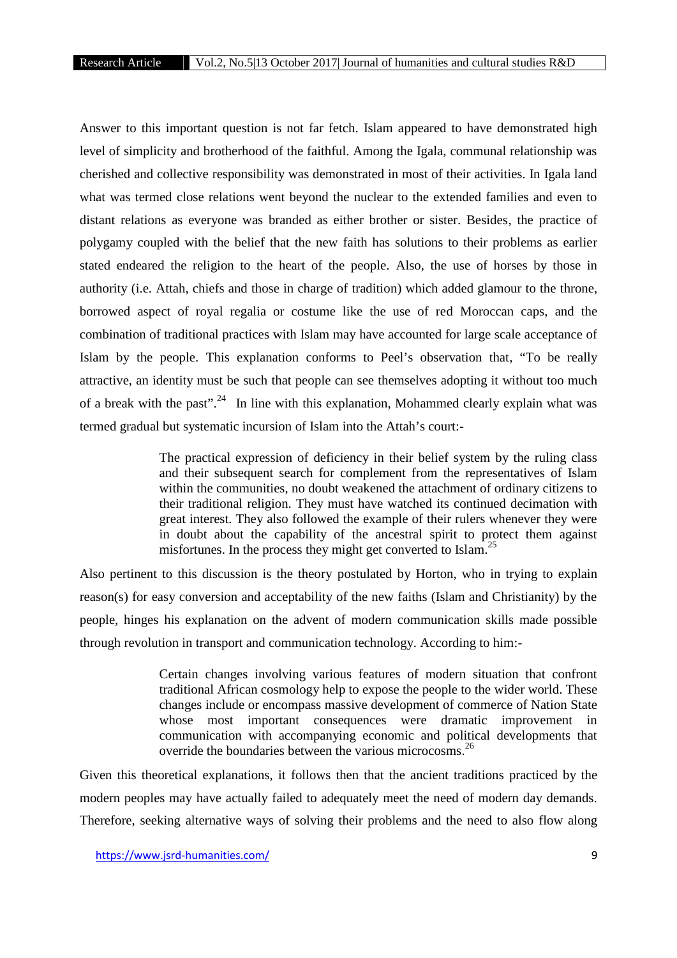Answer to this important question is not far fetch. Islam appeared to have demonstrated high level of simplicity and brotherhood of the faithful. Among the Igala, communal relationship was cherished and collective responsibility was demonstrated in most of their activities. In Igala land what was termed close relations went beyond the nuclear to the extended families and even to distant relations as everyone was branded as either brother or sister. Besides, the practice of polygamy coupled with the belief that the new faith has solutions to their problems as earlier stated endeared the religion to the heart of the people. Also, the use of horses by those in authority (i.e. Attah, chiefs and those in charge of tradition) which added glamour to the throne, borrowed aspect of royal regalia or costume like the use of red Moroccan caps, and the combination of traditional practices with Islam may have accounted for large scale acceptance of Islam by the people. This explanation conforms to Peel's observation that, "To be really attractive, an identity must be such that people can see themselves adopting it without too much of a break with the past".<sup>24</sup> In line with this explanation, Mohammed clearly explain what was termed gradual but systematic incursion of Islam into the Attah's court:-

> The practical expression of deficiency in their belief system by the ruling class and their subsequent search for complement from the representatives of Islam within the communities, no doubt weakened the attachment of ordinary citizens to their traditional religion. They must have watched its continued decimation with great interest. They also followed the example of their rulers whenever they were in doubt about the capability of the ancestral spirit to protect them against misfortunes. In the process they might get converted to Islam.<sup>25</sup>

Also pertinent to this discussion is the theory postulated by Horton, who in trying to explain reason(s) for easy conversion and acceptability of the new faiths (Islam and Christianity) by the people, hinges his explanation on the advent of modern communication skills made possible through revolution in transport and communication technology. According to him:-

> Certain changes involving various features of modern situation that confront traditional African cosmology help to expose the people to the wider world. These changes include or encompass massive development of commerce of Nation State whose most important consequences were dramatic improvement in communication with accompanying economic and political developments that override the boundaries between the various microcosms.<sup>26</sup>

Given this theoretical explanations, it follows then that the ancient traditions practiced by the modern peoples may have actually failed to adequately meet the need of modern day demands. Therefore, seeking alternative ways of solving their problems and the need to also flow along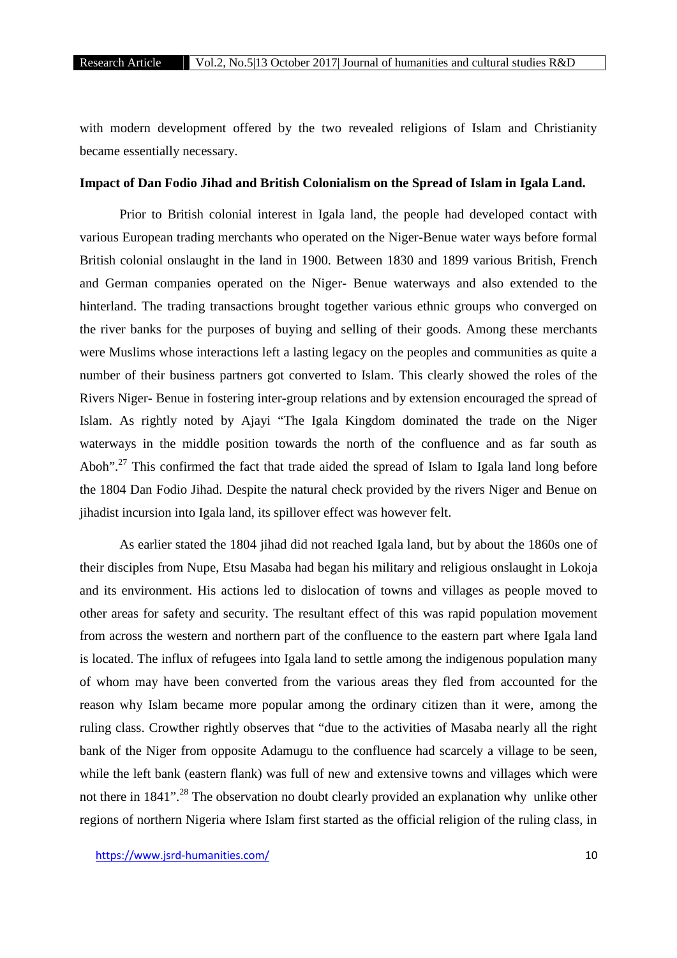with modern development offered by the two revealed religions of Islam and Christianity became essentially necessary.

#### **Impact of Dan Fodio Jihad and British Colonialism on the Spread of Islam in Igala Land.**

Prior to British colonial interest in Igala land, the people had developed contact with various European trading merchants who operated on the Niger-Benue water ways before formal British colonial onslaught in the land in 1900. Between 1830 and 1899 various British, French and German companies operated on the Niger- Benue waterways and also extended to the hinterland. The trading transactions brought together various ethnic groups who converged on the river banks for the purposes of buying and selling of their goods. Among these merchants were Muslims whose interactions left a lasting legacy on the peoples and communities as quite a number of their business partners got converted to Islam. This clearly showed the roles of the Rivers Niger- Benue in fostering inter-group relations and by extension encouraged the spread of Islam. As rightly noted by Ajayi "The Igala Kingdom dominated the trade on the Niger waterways in the middle position towards the north of the confluence and as far south as Aboh".<sup>27</sup> This confirmed the fact that trade aided the spread of Islam to Igala land long before the 1804 Dan Fodio Jihad. Despite the natural check provided by the rivers Niger and Benue on jihadist incursion into Igala land, its spillover effect was however felt.

As earlier stated the 1804 jihad did not reached Igala land, but by about the 1860s one of their disciples from Nupe, Etsu Masaba had began his military and religious onslaught in Lokoja and its environment. His actions led to dislocation of towns and villages as people moved to other areas for safety and security. The resultant effect of this was rapid population movement from across the western and northern part of the confluence to the eastern part where Igala land is located. The influx of refugees into Igala land to settle among the indigenous population many of whom may have been converted from the various areas they fled from accounted for the reason why Islam became more popular among the ordinary citizen than it were, among the ruling class. Crowther rightly observes that "due to the activities of Masaba nearly all the right bank of the Niger from opposite Adamugu to the confluence had scarcely a village to be seen, while the left bank (eastern flank) was full of new and extensive towns and villages which were not there in 1841".<sup>28</sup> The observation no doubt clearly provided an explanation why unlike other regions of northern Nigeria where Islam first started as the official religion of the ruling class, in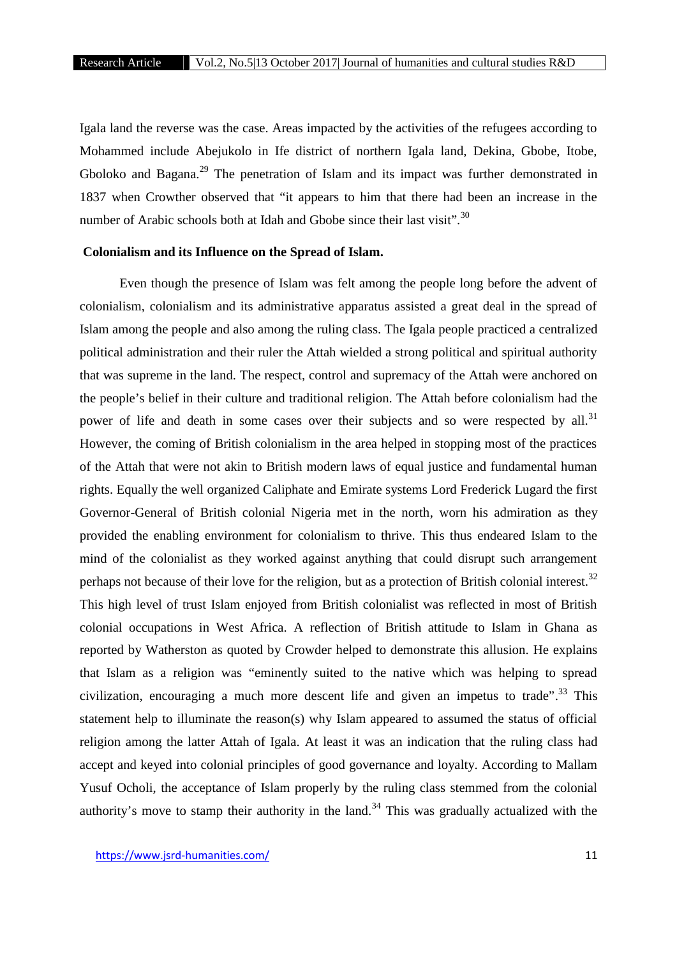Igala land the reverse was the case. Areas impacted by the activities of the refugees according to Mohammed include Abejukolo in Ife district of northern Igala land, Dekina, Gbobe, Itobe, Gboloko and Bagana.<sup>29</sup> The penetration of Islam and its impact was further demonstrated in 1837 when Crowther observed that "it appears to him that there had been an increase in the number of Arabic schools both at Idah and Gbobe since their last visit".<sup>30</sup>

# **Colonialism and its Influence on the Spread of Islam.**

Even though the presence of Islam was felt among the people long before the advent of colonialism, colonialism and its administrative apparatus assisted a great deal in the spread of Islam among the people and also among the ruling class. The Igala people practiced a centralized political administration and their ruler the Attah wielded a strong political and spiritual authority that was supreme in the land. The respect, control and supremacy of the Attah were anchored on the people's belief in their culture and traditional religion. The Attah before colonialism had the power of life and death in some cases over their subjects and so were respected by all.<sup>31</sup> However, the coming of British colonialism in the area helped in stopping most of the practices of the Attah that were not akin to British modern laws of equal justice and fundamental human rights. Equally the well organized Caliphate and Emirate systems Lord Frederick Lugard the first Governor-General of British colonial Nigeria met in the north, worn his admiration as they provided the enabling environment for colonialism to thrive. This thus endeared Islam to the mind of the colonialist as they worked against anything that could disrupt such arrangement perhaps not because of their love for the religion, but as a protection of British colonial interest.<sup>32</sup> This high level of trust Islam enjoyed from British colonialist was reflected in most of British colonial occupations in West Africa. A reflection of British attitude to Islam in Ghana as reported by Watherston as quoted by Crowder helped to demonstrate this allusion. He explains that Islam as a religion was "eminently suited to the native which was helping to spread civilization, encouraging a much more descent life and given an impetus to trade".<sup>33</sup> This statement help to illuminate the reason(s) why Islam appeared to assumed the status of official religion among the latter Attah of Igala. At least it was an indication that the ruling class had accept and keyed into colonial principles of good governance and loyalty. According to Mallam Yusuf Ocholi, the acceptance of Islam properly by the ruling class stemmed from the colonial authority's move to stamp their authority in the land.<sup>34</sup> This was gradually actualized with the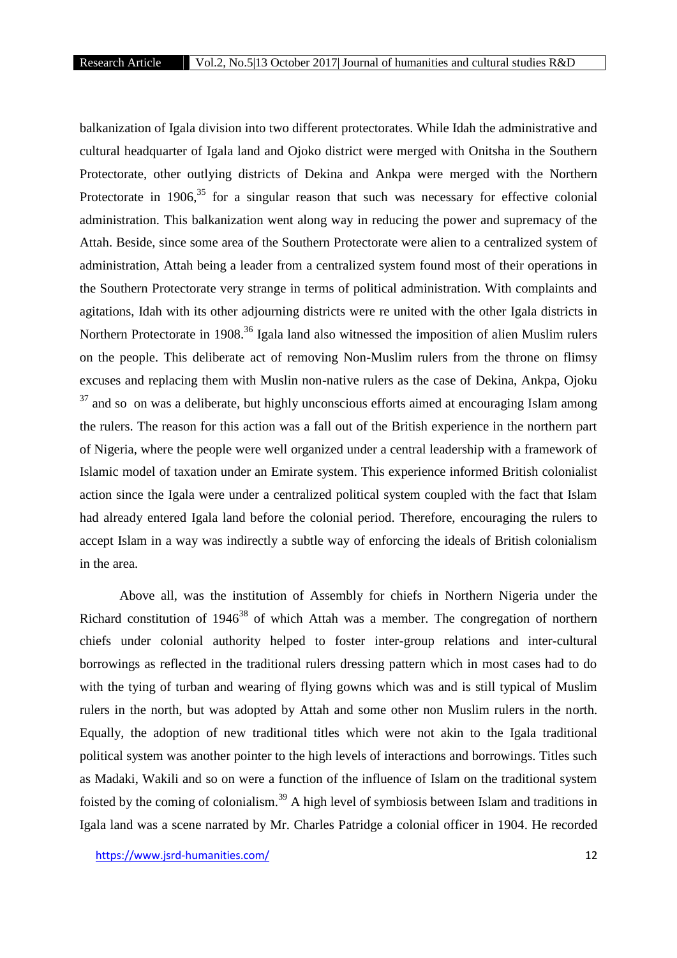balkanization of Igala division into two different protectorates. While Idah the administrative and cultural headquarter of Igala land and Ojoko district were merged with Onitsha in the Southern Protectorate, other outlying districts of Dekina and Ankpa were merged with the Northern Protectorate in 1906, $35$  for a singular reason that such was necessary for effective colonial administration. This balkanization went along way in reducing the power and supremacy of the Attah. Beside, since some area of the Southern Protectorate were alien to a centralized system of administration, Attah being a leader from a centralized system found most of their operations in the Southern Protectorate very strange in terms of political administration. With complaints and agitations, Idah with its other adjourning districts were re united with the other Igala districts in Northern Protectorate in 1908.<sup>36</sup> Igala land also witnessed the imposition of alien Muslim rulers on the people. This deliberate act of removing Non-Muslim rulers from the throne on flimsy excuses and replacing them with Muslin non-native rulers as the case of Dekina, Ankpa, Ojoku  $37$  and so on was a deliberate, but highly unconscious efforts aimed at encouraging Islam among the rulers. The reason for this action was a fall out of the British experience in the northern part of Nigeria, where the people were well organized under a central leadership with a framework of Islamic model of taxation under an Emirate system. This experience informed British colonialist action since the Igala were under a centralized political system coupled with the fact that Islam had already entered Igala land before the colonial period. Therefore, encouraging the rulers to accept Islam in a way was indirectly a subtle way of enforcing the ideals of British colonialism in the area.

Above all, was the institution of Assembly for chiefs in Northern Nigeria under the Richard constitution of  $1946^{38}$  of which Attah was a member. The congregation of northern chiefs under colonial authority helped to foster inter-group relations and inter-cultural borrowings as reflected in the traditional rulers dressing pattern which in most cases had to do with the tying of turban and wearing of flying gowns which was and is still typical of Muslim rulers in the north, but was adopted by Attah and some other non Muslim rulers in the north. Equally, the adoption of new traditional titles which were not akin to the Igala traditional political system was another pointer to the high levels of interactions and borrowings. Titles such as Madaki, Wakili and so on were a function of the influence of Islam on the traditional system foisted by the coming of colonialism.<sup>39</sup> A high level of symbiosis between Islam and traditions in Igala land was a scene narrated by Mr. Charles Patridge a colonial officer in 1904. He recorded

https://www.jsrd-humanities.com/ 12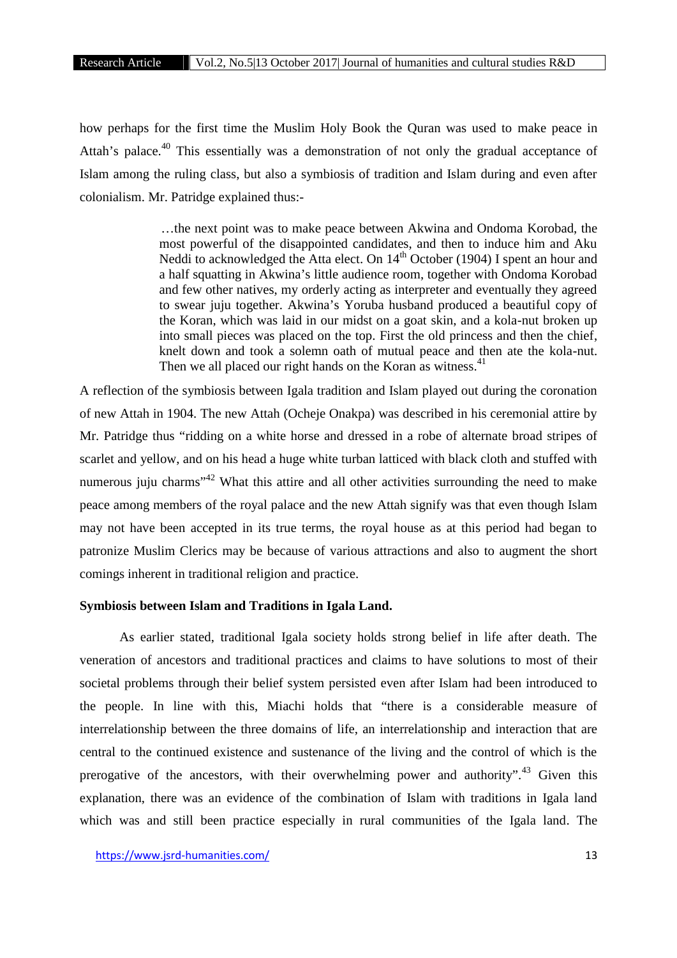how perhaps for the first time the Muslim Holy Book the Quran was used to make peace in Attah's palace.<sup>40</sup> This essentially was a demonstration of not only the gradual acceptance of Islam among the ruling class, but also a symbiosis of tradition and Islam during and even after colonialism. Mr. Patridge explained thus:-

> …the next point was to make peace between Akwina and Ondoma Korobad, the most powerful of the disappointed candidates, and then to induce him and Aku Neddi to acknowledged the Atta elect. On  $14<sup>th</sup>$  October (1904) I spent an hour and a half squatting in Akwina's little audience room, together with Ondoma Korobad and few other natives, my orderly acting as interpreter and eventually they agreed to swear juju together. Akwina's Yoruba husband produced a beautiful copy of the Koran, which was laid in our midst on a goat skin, and a kola-nut broken up into small pieces was placed on the top. First the old princess and then the chief, knelt down and took a solemn oath of mutual peace and then ate the kola-nut. Then we all placed our right hands on the Koran as witness.<sup>41</sup>

A reflection of the symbiosis between Igala tradition and Islam played out during the coronation of new Attah in 1904. The new Attah (Ocheje Onakpa) was described in his ceremonial attire by Mr. Patridge thus "ridding on a white horse and dressed in a robe of alternate broad stripes of scarlet and yellow, and on his head a huge white turban latticed with black cloth and stuffed with numerous juju charms<sup>"42</sup> What this attire and all other activities surrounding the need to make peace among members of the royal palace and the new Attah signify was that even though Islam may not have been accepted in its true terms, the royal house as at this period had began to patronize Muslim Clerics may be because of various attractions and also to augment the short comings inherent in traditional religion and practice.

# **Symbiosis between Islam and Traditions in Igala Land.**

As earlier stated, traditional Igala society holds strong belief in life after death. The veneration of ancestors and traditional practices and claims to have solutions to most of their societal problems through their belief system persisted even after Islam had been introduced to the people. In line with this, Miachi holds that "there is a considerable measure of interrelationship between the three domains of life, an interrelationship and interaction that are central to the continued existence and sustenance of the living and the control of which is the prerogative of the ancestors, with their overwhelming power and authority".<sup>43</sup> Given this explanation, there was an evidence of the combination of Islam with traditions in Igala land which was and still been practice especially in rural communities of the Igala land. The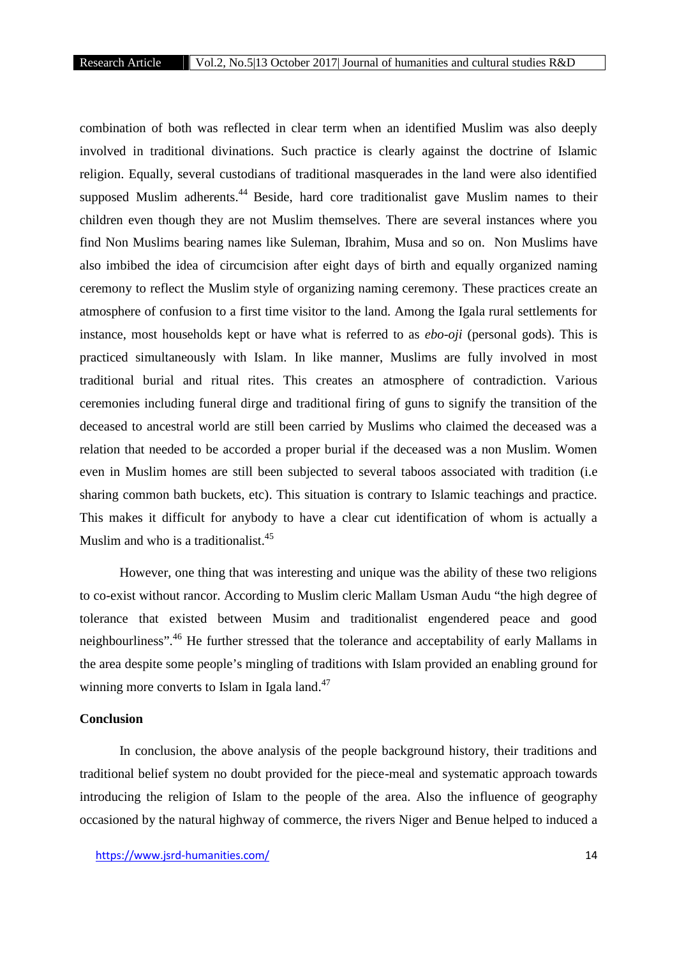combination of both was reflected in clear term when an identified Muslim was also deeply involved in traditional divinations. Such practice is clearly against the doctrine of Islamic religion. Equally, several custodians of traditional masquerades in the land were also identified supposed Muslim adherents.<sup>44</sup> Beside, hard core traditionalist gave Muslim names to their children even though they are not Muslim themselves. There are several instances where you find Non Muslims bearing names like Suleman, Ibrahim, Musa and so on. Non Muslims have also imbibed the idea of circumcision after eight days of birth and equally organized naming ceremony to reflect the Muslim style of organizing naming ceremony. These practices create an atmosphere of confusion to a first time visitor to the land. Among the Igala rural settlements for instance, most households kept or have what is referred to as *ebo-oji* (personal gods). This is practiced simultaneously with Islam. In like manner, Muslims are fully involved in most traditional burial and ritual rites. This creates an atmosphere of contradiction. Various ceremonies including funeral dirge and traditional firing of guns to signify the transition of the deceased to ancestral world are still been carried by Muslims who claimed the deceased was a relation that needed to be accorded a proper burial if the deceased was a non Muslim. Women even in Muslim homes are still been subjected to several taboos associated with tradition (i.e sharing common bath buckets, etc). This situation is contrary to Islamic teachings and practice. This makes it difficult for anybody to have a clear cut identification of whom is actually a Muslim and who is a traditionalist.<sup>45</sup>

However, one thing that was interesting and unique was the ability of these two religions to co-exist without rancor. According to Muslim cleric Mallam Usman Audu "the high degree of tolerance that existed between Musim and traditionalist engendered peace and good neighbourliness".<sup>46</sup> He further stressed that the tolerance and acceptability of early Mallams in the area despite some people's mingling of traditions with Islam provided an enabling ground for winning more converts to Islam in Igala land.<sup>47</sup>

#### **Conclusion**

In conclusion, the above analysis of the people background history, their traditions and traditional belief system no doubt provided for the piece-meal and systematic approach towards introducing the religion of Islam to the people of the area. Also the influence of geography occasioned by the natural highway of commerce, the rivers Niger and Benue helped to induced a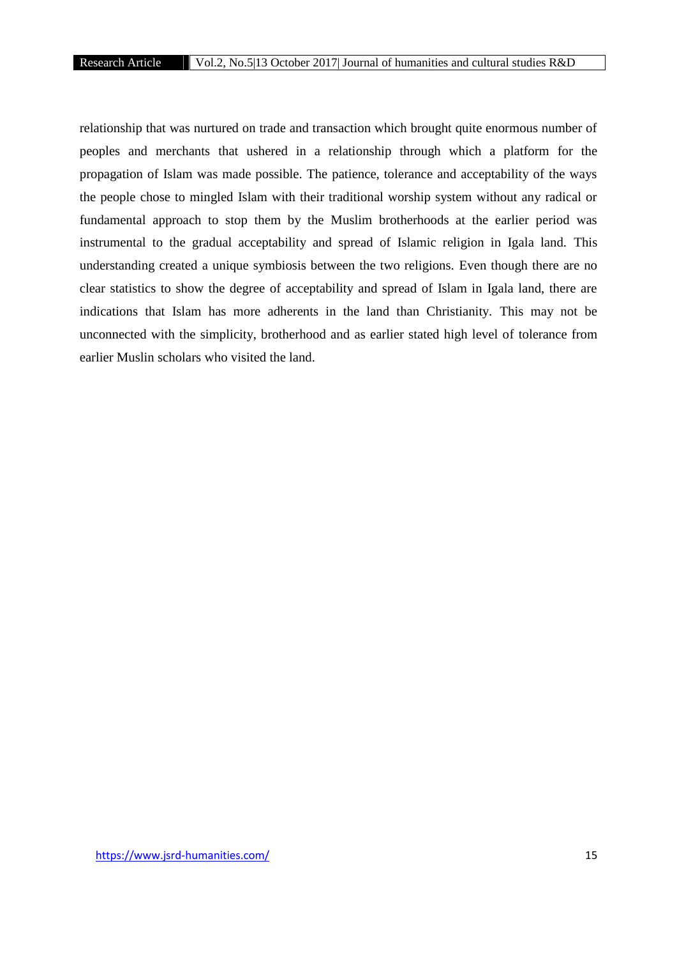relationship that was nurtured on trade and transaction which brought quite enormous number of peoples and merchants that ushered in a relationship through which a platform for the propagation of Islam was made possible. The patience, tolerance and acceptability of the ways the people chose to mingled Islam with their traditional worship system without any radical or fundamental approach to stop them by the Muslim brotherhoods at the earlier period was instrumental to the gradual acceptability and spread of Islamic religion in Igala land. This understanding created a unique symbiosis between the two religions. Even though there are no clear statistics to show the degree of acceptability and spread of Islam in Igala land, there are indications that Islam has more adherents in the land than Christianity. This may not be unconnected with the simplicity, brotherhood and as earlier stated high level of tolerance from earlier Muslin scholars who visited the land.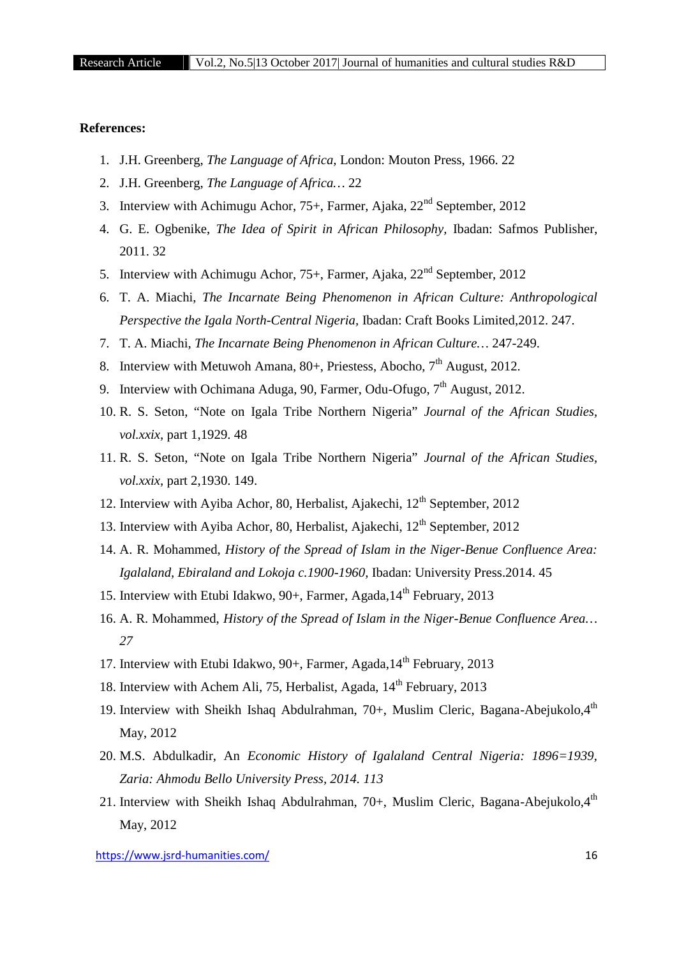# **References:**

- 1. J.H. Greenberg, *The Language of Africa,* London: Mouton Press, 1966. 22
- 2. J.H. Greenberg, *The Language of Africa…* 22
- 3. Interview with Achimugu Achor,  $75+$ , Farmer, Ajaka,  $22<sup>nd</sup>$  September, 2012
- 4. G. E. Ogbenike, *The Idea of Spirit in African Philosophy,* Ibadan: Safmos Publisher, 2011. 32
- 5. Interview with Achimugu Achor,  $75+$ , Farmer, Ajaka,  $22<sup>nd</sup>$  September, 2012
- 6. T. A. Miachi, *The Incarnate Being Phenomenon in African Culture: Anthropological Perspective the Igala North-Central Nigeria,* Ibadan: Craft Books Limited,2012. 247.
- 7. T. A. Miachi, *The Incarnate Being Phenomenon in African Culture…* 247-249.
- 8. Interview with Metuwoh Amana,  $80+$ , Priestess, Abocho,  $7<sup>th</sup>$  August, 2012.
- 9. Interview with Ochimana Aduga, 90, Farmer, Odu-Ofugo,  $7<sup>th</sup>$  August, 2012.
- 10. R. S. Seton, "Note on Igala Tribe Northern Nigeria" *Journal of the African Studies, vol.xxix,* part 1,1929. 48
- 11. R. S. Seton, "Note on Igala Tribe Northern Nigeria" *Journal of the African Studies, vol.xxix,* part 2,1930. 149.
- 12. Interview with Ayiba Achor, 80, Herbalist, Ajakechi,  $12<sup>th</sup>$  September, 2012
- 13. Interview with Ayiba Achor, 80, Herbalist, Ajakechi,  $12<sup>th</sup>$  September, 2012
- 14. A. R. Mohammed, *History of the Spread of Islam in the Niger-Benue Confluence Area: Igalaland, Ebiraland and Lokoja c.1900-1960,* Ibadan: University Press.2014. 45
- 15. Interview with Etubi Idakwo, 90+, Farmer, Agada, 14<sup>th</sup> February, 2013
- 16. A. R. Mohammed, *History of the Spread of Islam in the Niger-Benue Confluence Area… 27*
- 17. Interview with Etubi Idakwo,  $90+$ , Farmer, Agada,  $14<sup>th</sup>$  February, 2013
- 18. Interview with Achem Ali, 75, Herbalist, Agada, 14<sup>th</sup> February, 2013
- 19. Interview with Sheikh Ishaq Abdulrahman, 70+, Muslim Cleric, Bagana-Abejukolo, $4<sup>th</sup>$ May, 2012
- 20. M.S. Abdulkadir, An *Economic History of Igalaland Central Nigeria: 1896=1939, Zaria: Ahmodu Bello University Press, 2014. 113*
- 21. Interview with Sheikh Ishaq Abdulrahman, 70+, Muslim Cleric, Bagana-Abejukolo, 4<sup>th</sup> May, 2012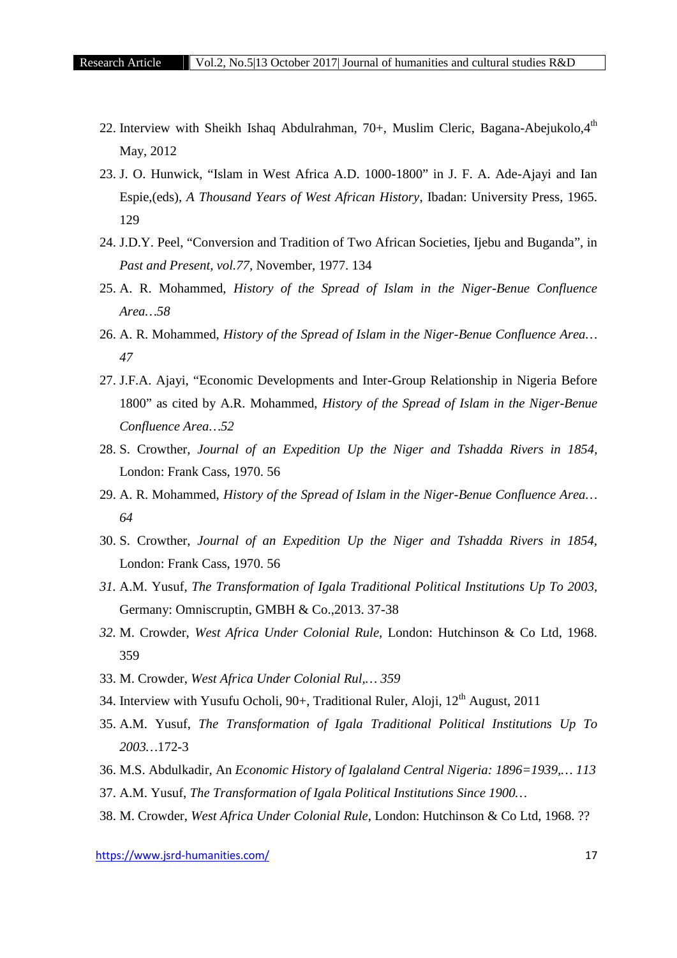- 22. Interview with Sheikh Ishaq Abdulrahman, 70+, Muslim Cleric, Bagana-Abejukolo, $4<sup>th</sup>$ May, 2012
- 23. J. O. Hunwick, "Islam in West Africa A.D. 1000-1800" in J. F. A. Ade-Ajayi and Ian Espie,(eds), *A Thousand Years of West African History*, Ibadan: University Press, 1965. 129
- 24. J.D.Y. Peel, "Conversion and Tradition of Two African Societies, Ijebu and Buganda", in *Past and Present, vol.77,* November, 1977. 134
- 25. A. R. Mohammed, *History of the Spread of Islam in the Niger-Benue Confluence Area…58*
- 26. A. R. Mohammed, *History of the Spread of Islam in the Niger-Benue Confluence Area… 47*
- 27. J.F.A. Ajayi, "Economic Developments and Inter-Group Relationship in Nigeria Before 1800" as cited by A.R. Mohammed, *History of the Spread of Islam in the Niger-Benue Confluence Area…52*
- 28. S. Crowther, *Journal of an Expedition Up the Niger and Tshadda Rivers in 1854,* London: Frank Cass, 1970. 56
- 29. A. R. Mohammed, *History of the Spread of Islam in the Niger-Benue Confluence Area… 64*
- 30. S. Crowther, *Journal of an Expedition Up the Niger and Tshadda Rivers in 1854,* London: Frank Cass, 1970. 56
- *31.* A.M. Yusuf, *The Transformation of Igala Traditional Political Institutions Up To 2003,* Germany: Omniscruptin, GMBH & Co.,2013. 37-38
- *32.* M. Crowder, *West Africa Under Colonial Rule,* London: Hutchinson & Co Ltd, 1968. 359
- 33. M. Crowder, *West Africa Under Colonial Rul,… 359*
- 34. Interview with Yusufu Ocholi,  $90+$ , Traditional Ruler, Aloji,  $12<sup>th</sup>$  August, 2011
- 35. A.M. Yusuf, *The Transformation of Igala Traditional Political Institutions Up To 2003…*172-3
- 36. M.S. Abdulkadir, An *Economic History of Igalaland Central Nigeria: 1896=1939,… 113*
- 37. A.M. Yusuf, *The Transformation of Igala Political Institutions Since 1900…*
- 38. M. Crowder, *West Africa Under Colonial Rule*, London: Hutchinson & Co Ltd, 1968. ??

https://www.jsrd-humanities.com/ 17